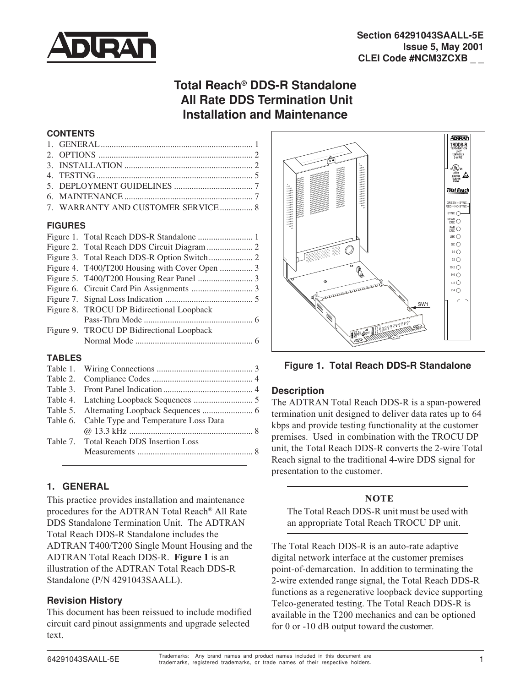

# **Total Reach® DDS-R Standalone All Rate DDS Termination Unit Installation and Maintenance**

#### **CONTENTS**

| 7. WARRANTY AND CUSTOMER SERVICE 8 |  |
|------------------------------------|--|
|                                    |  |

#### **FIGURES**

| Figure 4. T400/T200 Housing with Cover Open  3 |  |
|------------------------------------------------|--|
|                                                |  |
|                                                |  |
|                                                |  |
| Figure 8. TROCU DP Bidirectional Loopback      |  |
|                                                |  |
| Figure 9. TROCU DP Bidirectional Loopback      |  |
|                                                |  |

#### **TABLES**

| Table 6. Cable Type and Temperature Loss Data |  |
|-----------------------------------------------|--|
|                                               |  |
| Table 7. Total Reach DDS Insertion Loss       |  |
|                                               |  |
|                                               |  |

# **1. GENERAL**

This practice provides installation and maintenance procedures for the ADTRAN Total Reach® All Rate DDS Standalone Termination Unit. The ADTRAN Total Reach DDS-R Standalone includes the ADTRAN T400/T200 Single Mount Housing and the ADTRAN Total Reach DDS-R. **Figure 1** is an illustration of the ADTRAN Total Reach DDS-R Standalone (P/N 4291043SAALL).

#### **Revision History**

This document has been reissued to include modified circuit card pinout assignments and upgrade selected text.



**Figure 1. Total Reach DDS-R Standalone**

# **Description**

The ADTRAN Total Reach DDS-R is a span-powered termination unit designed to deliver data rates up to 64 kbps and provide testing functionality at the customer premises. Used in combination with the TROCU DP unit, the Total Reach DDS-R converts the 2-wire Total Reach signal to the traditional 4-wire DDS signal for presentation to the customer.

# **NOTE**

The Total Reach DDS-R unit must be used with an appropriate Total Reach TROCU DP unit.

The Total Reach DDS-R is an auto-rate adaptive digital network interface at the customer premises point-of-demarcation. In addition to terminating the 2-wire extended range signal, the Total Reach DDS-R functions as a regenerative loopback device supporting Telco-generated testing. The Total Reach DDS-R is available in the T200 mechanics and can be optioned for 0 or -10 dB output toward the customer.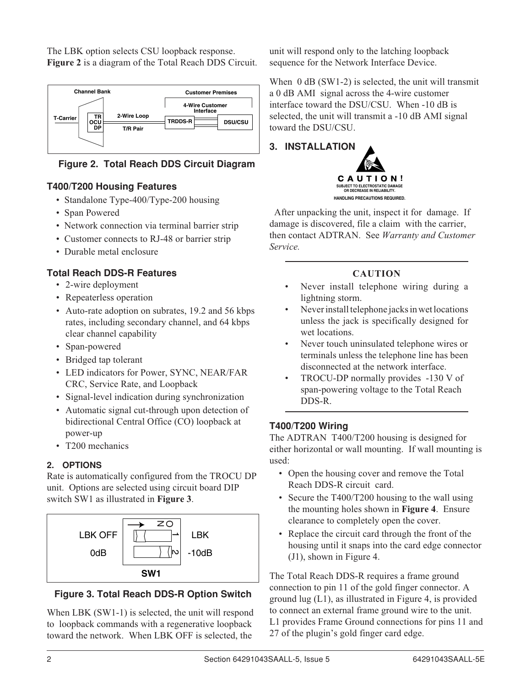The LBK option selects CSU loopback response. **Figure 2** is a diagram of the Total Reach DDS Circuit.



**Figure 2. Total Reach DDS Circuit Diagram**

# **T400/T200 Housing Features**

- Standalone Type-400/Type-200 housing
- Span Powered
- Network connection via terminal barrier strip
- Customer connects to RJ-48 or barrier strip
- Durable metal enclosure

# **Total Reach DDS-R Features**

- 2-wire deployment
- Repeaterless operation
- Auto-rate adoption on subrates, 19.2 and 56 kbps rates, including secondary channel, and 64 kbps clear channel capability
- Span-powered
- Bridged tap tolerant
- LED indicators for Power, SYNC, NEAR/FAR CRC, Service Rate, and Loopback
- Signal-level indication during synchronization
- Automatic signal cut-through upon detection of bidirectional Central Office (CO) loopback at power-up
- T200 mechanics

# **2. OPTIONS**

Rate is automatically configured from the TROCU DP unit. Options are selected using circuit board DIP switch SW1 as illustrated in **Figure 3**.



When LBK (SW1-1) is selected, the unit will respond to loopback commands with a regenerative loopback toward the network. When LBK OFF is selected, the

unit will respond only to the latching loopback sequence for the Network Interface Device.

When 0 dB (SW1-2) is selected, the unit will transmit a 0 dB AMI signal across the 4-wire customer interface toward the DSU/CSU. When -10 dB is selected, the unit will transmit a -10 dB AMI signal toward the DSU/CSU.

# **3. INSTALLATION**



 After unpacking the unit, inspect it for damage. If damage is discovered, file a claim with the carrier, then contact ADTRAN. See *Warranty and Customer Service.*

# **CAUTION**

- Never install telephone wiring during a lightning storm.
- Never install telephone jacks in wet locations unless the jack is specifically designed for wet locations.
- Never touch uninsulated telephone wires or terminals unless the telephone line has been disconnected at the network interface.
- TROCU-DP normally provides -130 V of span-powering voltage to the Total Reach DDS-R.

# **T400/T200 Wiring**

The ADTRAN T400/T200 housing is designed for either horizontal or wall mounting. If wall mounting is used:

- Open the housing cover and remove the Total Reach DDS-R circuit card.
- Secure the T400/T200 housing to the wall using the mounting holes shown in **Figure 4**. Ensure clearance to completely open the cover.
- Replace the circuit card through the front of the housing until it snaps into the card edge connector (J1), shown in Figure 4.

The Total Reach DDS-R requires a frame ground connection to pin 11 of the gold finger connector. A ground lug (L1), as illustrated in Figure 4, is provided to connect an external frame ground wire to the unit. L1 provides Frame Ground connections for pins 11 and 27 of the plugin's gold finger card edge.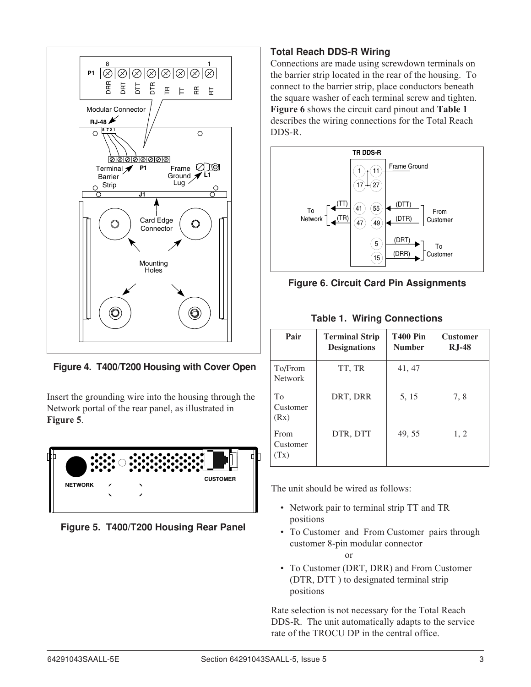

**Figure 4. T400/T200 Housing with Cover Open**

Insert the grounding wire into the housing through the Network portal of the rear panel, as illustrated in **Figure 5**.



**Figure 5. T400/T200 Housing Rear Panel**

# **Total Reach DDS-R Wiring**

Connections are made using screwdown terminals on the barrier strip located in the rear of the housing. To connect to the barrier strip, place conductors beneath the square washer of each terminal screw and tighten. **Figure 6** shows the circuit card pinout and **Table 1** describes the wiring connections for the Total Reach DDS-R.



**Figure 6. Circuit Card Pin Assignments**

| <b>Table 1. Wiring Connections</b> |  |
|------------------------------------|--|
|------------------------------------|--|

| Pair                      | <b>Terminal Strip</b><br><b>Designations</b> | <b>T400 Pin</b><br><b>Number</b> | <b>Customer</b><br>$R_{J}$ -48 |
|---------------------------|----------------------------------------------|----------------------------------|--------------------------------|
| To/From<br><b>Network</b> | TT, TR                                       | 41, 47                           |                                |
| To<br>Customer<br>(Rx)    | DRT, DRR                                     | 5, 15                            | 7,8                            |
| From<br>Customer<br>(Tx)  | DTR, DTT                                     | 49, 55                           | 1, 2                           |

The unit should be wired as follows:

or

- *•* Network pair to terminal strip TT and TR positions
- *•* To Customer and From Customer pairs through customer 8-pin modular connector
- To Customer (DRT, DRR) and From Customer (DTR, DTT ) to designated terminal strip positions

Rate selection is not necessary for the Total Reach DDS-R. The unit automatically adapts to the service rate of the TROCU DP in the central office.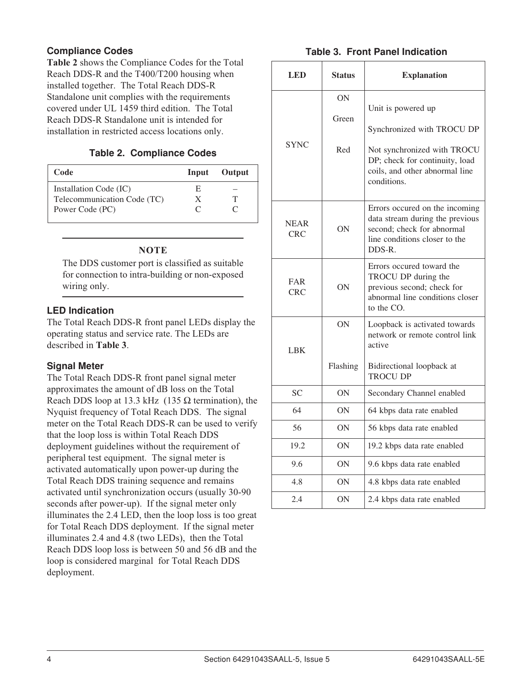### **Compliance Codes**

**Table 2** shows the Compliance Codes for the Total Reach DDS-R and the T400/T200 housing when installed together. The Total Reach DDS-R Standalone unit complies with the requirements covered under UL 1459 third edition. The Total Reach DDS-R Standalone unit is intended for installation in restricted access locations only.

#### **Table 2. Compliance Codes**

| Code                        |               | Input Output |
|-----------------------------|---------------|--------------|
| Installation Code (IC)      | E             |              |
| Telecommunication Code (TC) | X             |              |
| Power Code (PC)             | $\mathcal{L}$ |              |

#### **NOTE**

The DDS customer port is classified as suitable for connection to intra-building or non-exposed wiring only.

#### **LED Indication**

The Total Reach DDS-R front panel LEDs display the operating status and service rate. The LEDs are described in **Table 3**.

#### **Signal Meter**

The Total Reach DDS-R front panel signal meter approximates the amount of dB loss on the Total Reach DDS loop at 13.3 kHz (135  $\Omega$  termination), the Nyquist frequency of Total Reach DDS. The signal meter on the Total Reach DDS-R can be used to verify that the loop loss is within Total Reach DDS deployment guidelines without the requirement of peripheral test equipment. The signal meter is activated automatically upon power-up during the Total Reach DDS training sequence and remains activated until synchronization occurs (usually 30-90 seconds after power-up). If the signal meter only illuminates the 2.4 LED, then the loop loss is too great for Total Reach DDS deployment. If the signal meter illuminates 2.4 and 4.8 (two LEDs), then the Total Reach DDS loop loss is between 50 and 56 dB and the loop is considered marginal for Total Reach DDS deployment.

#### **Table 3. Front Panel Indication**

| LED                       | <b>Status</b>                                                                                                                         | <b>Explanation</b>                                                                                                                                                 |  |
|---------------------------|---------------------------------------------------------------------------------------------------------------------------------------|--------------------------------------------------------------------------------------------------------------------------------------------------------------------|--|
| <b>SYNC</b>               | <b>ON</b><br>Green<br>Red                                                                                                             | Unit is powered up<br>Synchronized with TROCU DP<br>Not synchronized with TROCU<br>DP; check for continuity, load<br>coils, and other abnormal line<br>conditions. |  |
| <b>NEAR</b><br><b>CRC</b> | ON                                                                                                                                    | Errors occured on the incoming<br>data stream during the previous<br>second; check for abnormal<br>line conditions closer to the<br>$DDS-R$ .                      |  |
| <b>FAR</b><br><b>CRC</b>  | Errors occured toward the<br>TROCU DP during the<br>ON<br>previous second; check for<br>abnormal line conditions closer<br>to the CO. |                                                                                                                                                                    |  |
| <b>LBK</b>                | ON<br>Flashing                                                                                                                        | Loopback is activated towards<br>network or remote control link<br>active<br>Bidirectional loopback at<br><b>TROCU DP</b>                                          |  |
| <b>SC</b>                 | ON                                                                                                                                    | Secondary Channel enabled                                                                                                                                          |  |
| 64                        | ON                                                                                                                                    | 64 kbps data rate enabled                                                                                                                                          |  |
| 56                        | ON                                                                                                                                    | 56 kbps data rate enabled                                                                                                                                          |  |
| 19.2                      | ON                                                                                                                                    | 19.2 kbps data rate enabled                                                                                                                                        |  |
| 9.6                       | ON                                                                                                                                    | 9.6 kbps data rate enabled                                                                                                                                         |  |
| 4.8                       | 0N                                                                                                                                    | 4.8 kbps data rate enabled                                                                                                                                         |  |
| 2.4                       | ON                                                                                                                                    | 2.4 kbps data rate enabled                                                                                                                                         |  |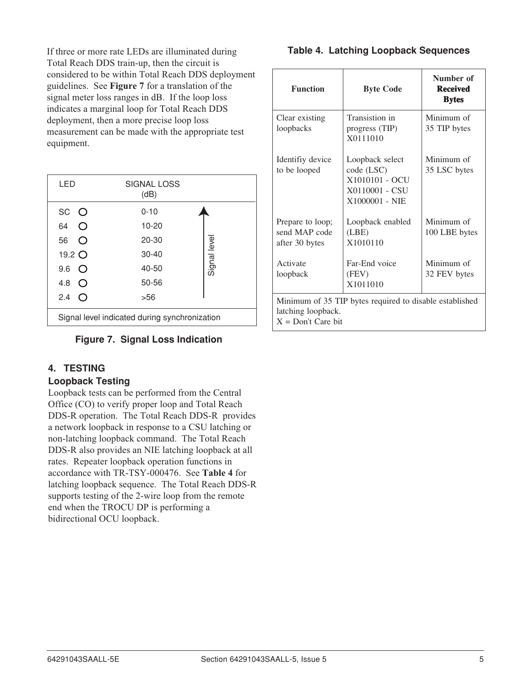If three or more rate LEDs are illuminated during Total Reach DDS train-up, then the circuit is considered to be within Total Reach DDS deployment guidelines. See **Figure 7** for a translation of the signal meter loss ranges in dB. If the loop loss indicates a marginal loop for Total Reach DDS deployment, then a more precise loop loss measurement can be made with the appropriate test equipment.

| LED                                                               | SIGNAL LOSS<br>(dB) |             |  |
|-------------------------------------------------------------------|---------------------|-------------|--|
| SC O                                                              | $0 - 10$            |             |  |
| 64<br>$\left(\begin{smallmatrix} 1 \\ 1 \end{smallmatrix}\right)$ | $10 - 20$           |             |  |
| 56<br>( )                                                         | $20 - 30$           |             |  |
| 19.2 O                                                            | $30 - 40$           | Signal leve |  |
| 9.6<br>$\bigcirc$                                                 | 40-50               |             |  |
| 4.8<br>$\left( \right)$                                           | 50-56               |             |  |
| 2.4<br>$\left( \right)$                                           | >56                 |             |  |
| Signal level indicated during synchronization                     |                     |             |  |

#### **Figure 7. Signal Loss Indication**

# **4. TESTING**

#### **Loopback Testing**

Loopback tests can be performed from the Central Office (CO) to verify proper loop and Total Reach DDS-R operation. The Total Reach DDS-R provides a network loopback in response to a CSU latching or non-latching loopback command. The Total Reach DDS-R also provides an NIE latching loopback at all rates. Repeater loopback operation functions in accordance with TR-TSY-000476. See **Table 4** for latching loopback sequence. The Total Reach DDS-R supports testing of the 2-wire loop from the remote end when the TROCU DP is performing a bidirectional OCU loopback.

#### **Table 4. Latching Loopback Sequences**

| <b>Function</b>                                                                                       | <b>Byte Code</b>                                                                    | Number of<br><b>Received</b><br><b>Bytes</b> |  |
|-------------------------------------------------------------------------------------------------------|-------------------------------------------------------------------------------------|----------------------------------------------|--|
| Clear existing<br>loopbacks                                                                           | Transistion in<br>progress (TIP)<br>X0111010                                        | Minimum of<br>35 TIP bytes                   |  |
| Identifiy device<br>to be looped                                                                      | Loopback select<br>code (LSC)<br>X1010101 - OCU<br>X0110001 - CSU<br>X1000001 - NIE | Minimum of<br>35 LSC bytes                   |  |
| Prepare to loop;<br>send MAP code<br>after 30 bytes                                                   | Loopback enabled<br>(LBE)<br>X1010110                                               | Minimum of<br>100 LBE bytes                  |  |
| Activate<br>loopback                                                                                  | Far-End voice<br>(FEV)<br>X1011010                                                  | Minimum of<br>32 FEV bytes                   |  |
| Minimum of 35 TIP bytes required to disable established<br>latching loopback.<br>$X = Don't Care bit$ |                                                                                     |                                              |  |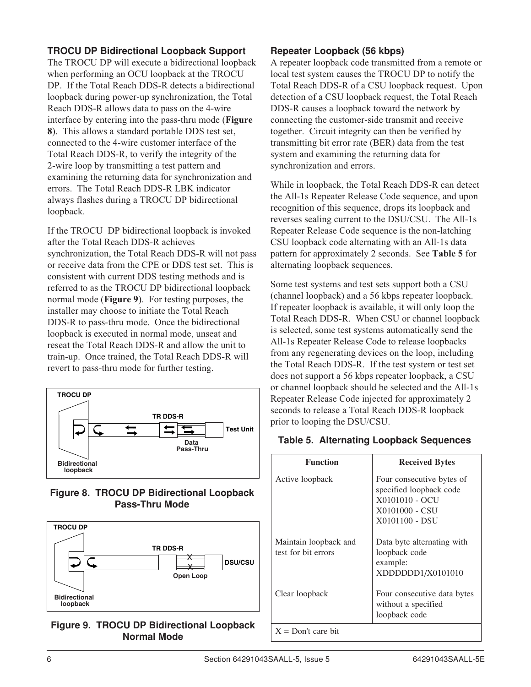# **TROCU DP Bidirectional Loopback Support**

The TROCU DP will execute a bidirectional loopback when performing an OCU loopback at the TROCU DP. If the Total Reach DDS-R detects a bidirectional loopback during power-up synchronization, the Total Reach DDS-R allows data to pass on the 4-wire interface by entering into the pass-thru mode (**Figure 8**). This allows a standard portable DDS test set, connected to the 4-wire customer interface of the Total Reach DDS-R, to verify the integrity of the 2-wire loop by transmitting a test pattern and examining the returning data for synchronization and errors. The Total Reach DDS-R LBK indicator always flashes during a TROCU DP bidirectional loopback.

If the TROCU DP bidirectional loopback is invoked after the Total Reach DDS-R achieves synchronization, the Total Reach DDS-R will not pass or receive data from the CPE or DDS test set. This is consistent with current DDS testing methods and is referred to as the TROCU DP bidirectional loopback normal mode (**Figure 9**). For testing purposes, the installer may choose to initiate the Total Reach DDS-R to pass-thru mode. Once the bidirectional loopback is executed in normal mode, unseat and reseat the Total Reach DDS-R and allow the unit to train-up. Once trained, the Total Reach DDS-R will revert to pass-thru mode for further testing.



#### **Figure 8. TROCU DP Bidirectional Loopback Pass-Thru Mode**



#### **Figure 9. TROCU DP Bidirectional Loopback Normal Mode**

### **Repeater Loopback (56 kbps)**

A repeater loopback code transmitted from a remote or local test system causes the TROCU DP to notify the Total Reach DDS-R of a CSU loopback request. Upon detection of a CSU loopback request, the Total Reach DDS-R causes a loopback toward the network by connecting the customer-side transmit and receive together. Circuit integrity can then be verified by transmitting bit error rate (BER) data from the test system and examining the returning data for synchronization and errors.

While in loopback, the Total Reach DDS-R can detect the All-1s Repeater Release Code sequence, and upon recognition of this sequence, drops its loopback and reverses sealing current to the DSU/CSU. The All-1s Repeater Release Code sequence is the non-latching CSU loopback code alternating with an All-1s data pattern for approximately 2 seconds. See **Table 5** for alternating loopback sequences.

Some test systems and test sets support both a CSU (channel loopback) and a 56 kbps repeater loopback. If repeater loopback is available, it will only loop the Total Reach DDS-R. When CSU or channel loopback is selected, some test systems automatically send the All-1s Repeater Release Code to release loopbacks from any regenerating devices on the loop, including the Total Reach DDS-R. If the test system or test set does not support a 56 kbps repeater loopback, a CSU or channel loopback should be selected and the All-1s Repeater Release Code injected for approximately 2 seconds to release a Total Reach DDS-R loopback prior to looping the DSU/CSU.

#### **Table 5. Alternating Loopback Sequences**

| <b>Function</b>                              | <b>Received Bytes</b>                                                                                      |
|----------------------------------------------|------------------------------------------------------------------------------------------------------------|
| Active loopback                              | Four consecutive bytes of<br>specified loopback code<br>X0101010 - OCU<br>X0101000 - CSU<br>X0101100 - DSU |
| Maintain loopback and<br>test for bit errors | Data byte alternating with<br>loopback code<br>example:<br>XDDDDDD1/X0101010                               |
| Clear loopback                               | Four consecutive data bytes<br>without a specified<br>loopback code                                        |
| $X = Don't care bit$                         |                                                                                                            |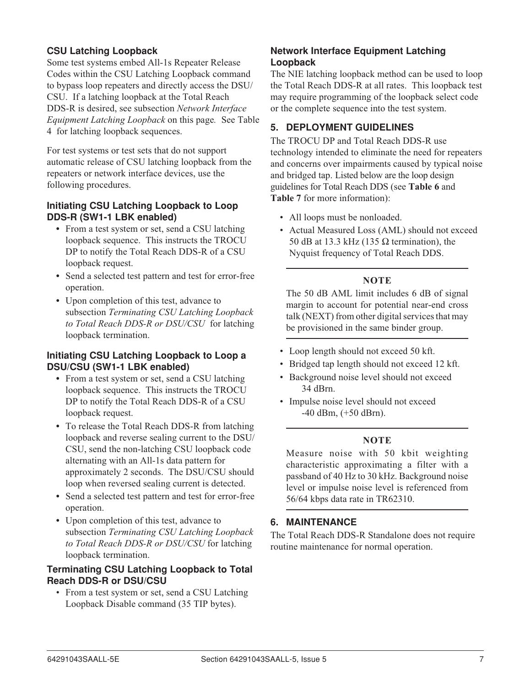# **CSU Latching Loopback**

Some test systems embed All-1s Repeater Release Codes within the CSU Latching Loopback command to bypass loop repeaters and directly access the DSU/ CSU. If a latching loopback at the Total Reach DDS-R is desired, see subsection *Network Interface Equipment Latching Loopback* on this page*.* See Table 4 for latching loopback sequences.

For test systems or test sets that do not support automatic release of CSU latching loopback from the repeaters or network interface devices, use the following procedures.

#### **Initiating CSU Latching Loopback to Loop DDS-R (SW1-1 LBK enabled)**

- **•** From a test system or set, send a CSU latching loopback sequence. This instructs the TROCU DP to notify the Total Reach DDS-R of a CSU loopback request.
- **•** Send a selected test pattern and test for error-free operation.
- **•** Upon completion of this test, advance to subsection *Terminating CSU Latching Loopback to Total Reach DDS-R or DSU/CSU* for latching loopback termination.

#### **Initiating CSU Latching Loopback to Loop a DSU/CSU (SW1-1 LBK enabled)**

- **•** From a test system or set, send a CSU latching loopback sequence. This instructs the TROCU DP to notify the Total Reach DDS-R of a CSU loopback request.
- **•** To release the Total Reach DDS-R from latching loopback and reverse sealing current to the DSU/ CSU, send the non-latching CSU loopback code alternating with an All-1s data pattern for approximately 2 seconds. The DSU/CSU should loop when reversed sealing current is detected.
- **•** Send a selected test pattern and test for error-free operation.
- **•** Upon completion of this test, advance to subsection *Terminating CSU Latching Loopback to Total Reach DDS-R or DSU/CSU* for latching loopback termination.

#### **Terminating CSU Latching Loopback to Total Reach DDS-R or DSU/CSU**

• From a test system or set, send a CSU Latching Loopback Disable command (35 TIP bytes).

# **Network Interface Equipment Latching Loopback**

The NIE latching loopback method can be used to loop the Total Reach DDS-R at all rates. This loopback test may require programming of the loopback select code or the complete sequence into the test system.

# **5. DEPLOYMENT GUIDELINES**

The TROCU DP and Total Reach DDS-R use technology intended to eliminate the need for repeaters and concerns over impairments caused by typical noise and bridged tap. Listed below are the loop design guidelines for Total Reach DDS (see **Table 6** and **Table 7** for more information):

- All loops must be nonloaded.
- Actual Measured Loss (AML) should not exceed 50 dB at 13.3 kHz (135  $\Omega$  termination), the Nyquist frequency of Total Reach DDS.

#### **NOTE**

The 50 dB AML limit includes 6 dB of signal margin to account for potential near-end cross talk (NEXT) from other digital services that may be provisioned in the same binder group.

- Loop length should not exceed 50 kft.
- Bridged tap length should not exceed 12 kft.
- Background noise level should not exceed 34 dBrn.
- Impulse noise level should not exceed  $-40$  dBm,  $(+50$  dBm).

#### **NOTE**

Measure noise with 50 kbit weighting characteristic approximating a filter with a passband of 40 Hz to 30 kHz. Background noise level or impulse noise level is referenced from 56/64 kbps data rate in TR62310.

# **6. MAINTENANCE**

The Total Reach DDS-R Standalone does not require routine maintenance for normal operation.